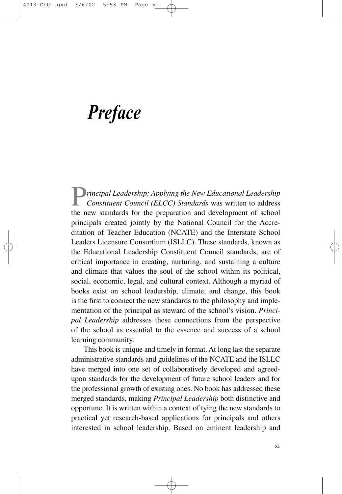## *Preface*

P*rincipal Leadership: Applying the New Educational Leadership Constituent Council (ELCC) Standards* was written to address the new standards for the preparation and development of school principals created jointly by the National Council for the Accreditation of Teacher Education (NCATE) and the Interstate School Leaders Licensure Consortium (ISLLC). These standards, known as the Educational Leadership Constituent Council standards, are of critical importance in creating, nurturing, and sustaining a culture and climate that values the soul of the school within its political, social, economic, legal, and cultural context. Although a myriad of books exist on school leadership, climate, and change, this book is the first to connect the new standards to the philosophy and implementation of the principal as steward of the school's vision. *Principal Leadership* addresses these connections from the perspective of the school as essential to the essence and success of a school learning community.

This book is unique and timely in format. At long last the separate administrative standards and guidelines of the NCATE and the ISLLC have merged into one set of collaboratively developed and agreedupon standards for the development of future school leaders and for the professional growth of existing ones. No book has addressed these merged standards, making *Principal Leadership* both distinctive and opportune. It is written within a context of tying the new standards to practical yet research-based applications for principals and others interested in school leadership. Based on eminent leadership and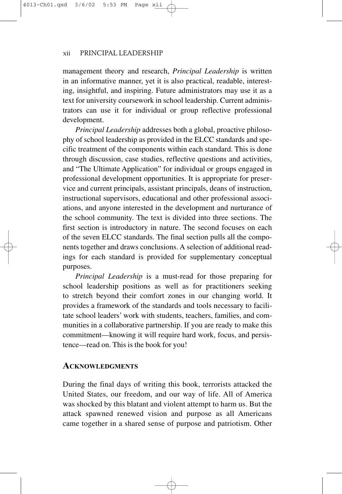## xii PRINCIPAL LEADERSHIP

management theory and research, *Principal Leadership* is written in an informative manner, yet it is also practical, readable, interesting, insightful, and inspiring. Future administrators may use it as a text for university coursework in school leadership. Current administrators can use it for individual or group reflective professional development.

*Principal Leadership* addresses both a global, proactive philosophy of school leadership as provided in the ELCC standards and specific treatment of the components within each standard. This is done through discussion, case studies, reflective questions and activities, and "The Ultimate Application" for individual or groups engaged in professional development opportunities. It is appropriate for preservice and current principals, assistant principals, deans of instruction, instructional supervisors, educational and other professional associations, and anyone interested in the development and nurturance of the school community. The text is divided into three sections. The first section is introductory in nature. The second focuses on each of the seven ELCC standards. The final section pulls all the components together and draws conclusions. A selection of additional readings for each standard is provided for supplementary conceptual purposes.

*Principal Leadership* is a must-read for those preparing for school leadership positions as well as for practitioners seeking to stretch beyond their comfort zones in our changing world. It provides a framework of the standards and tools necessary to facilitate school leaders' work with students, teachers, families, and communities in a collaborative partnership. If you are ready to make this commitment—knowing it will require hard work, focus, and persistence—read on. This is the book for you!

## **ACKNOWLEDGMENTS**

During the final days of writing this book, terrorists attacked the United States, our freedom, and our way of life. All of America was shocked by this blatant and violent attempt to harm us. But the attack spawned renewed vision and purpose as all Americans came together in a shared sense of purpose and patriotism. Other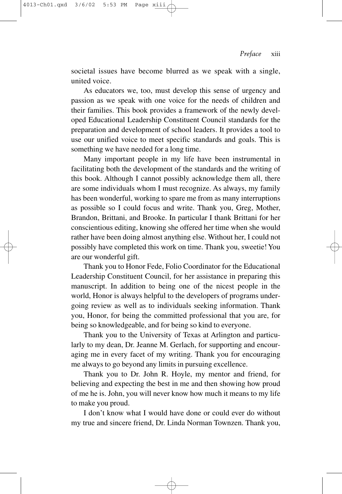societal issues have become blurred as we speak with a single, united voice.

As educators we, too, must develop this sense of urgency and passion as we speak with one voice for the needs of children and their families. This book provides a framework of the newly developed Educational Leadership Constituent Council standards for the preparation and development of school leaders. It provides a tool to use our unified voice to meet specific standards and goals. This is something we have needed for a long time.

Many important people in my life have been instrumental in facilitating both the development of the standards and the writing of this book. Although I cannot possibly acknowledge them all, there are some individuals whom I must recognize. As always, my family has been wonderful, working to spare me from as many interruptions as possible so I could focus and write. Thank you, Greg, Mother, Brandon, Brittani, and Brooke. In particular I thank Brittani for her conscientious editing, knowing she offered her time when she would rather have been doing almost anything else. Without her, I could not possibly have completed this work on time. Thank you, sweetie! You are our wonderful gift.

Thank you to Honor Fede, Folio Coordinator for the Educational Leadership Constituent Council, for her assistance in preparing this manuscript. In addition to being one of the nicest people in the world, Honor is always helpful to the developers of programs undergoing review as well as to individuals seeking information. Thank you, Honor, for being the committed professional that you are, for being so knowledgeable, and for being so kind to everyone.

Thank you to the University of Texas at Arlington and particularly to my dean, Dr. Jeanne M. Gerlach, for supporting and encouraging me in every facet of my writing. Thank you for encouraging me always to go beyond any limits in pursuing excellence.

Thank you to Dr. John R. Hoyle, my mentor and friend, for believing and expecting the best in me and then showing how proud of me he is. John, you will never know how much it means to my life to make you proud.

I don't know what I would have done or could ever do without my true and sincere friend, Dr. Linda Norman Townzen. Thank you,